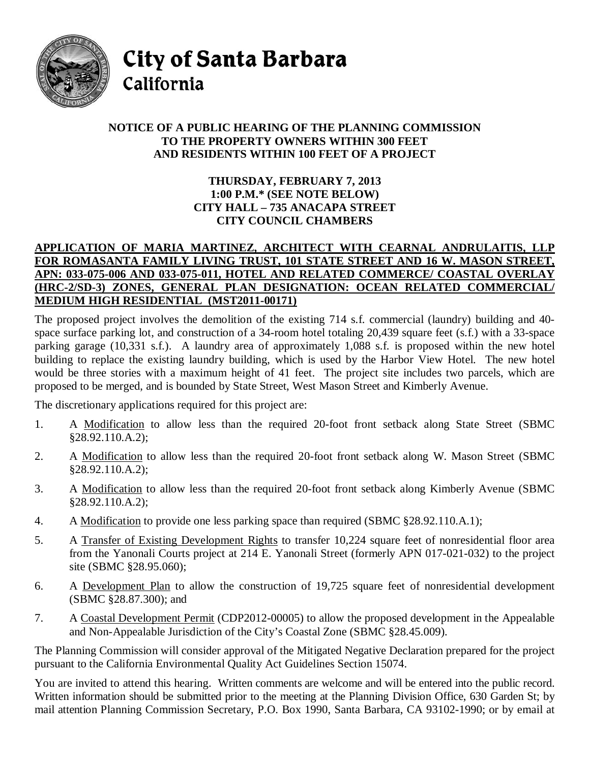

City of Santa Barbara

# California

## **NOTICE OF A PUBLIC HEARING OF THE PLANNING COMMISSION TO THE PROPERTY OWNERS WITHIN 300 FEET AND RESIDENTS WITHIN 100 FEET OF A PROJECT**

### **THURSDAY, FEBRUARY 7, 2013 1:00 P.M.\* (SEE NOTE BELOW) CITY HALL – 735 ANACAPA STREET CITY COUNCIL CHAMBERS**

### **APPLICATION OF MARIA MARTINEZ, ARCHITECT WITH CEARNAL ANDRULAITIS, LLP FOR ROMASANTA FAMILY LIVING TRUST, 101 STATE STREET AND 16 W. MASON STREET, APN: 033-075-006 AND 033-075-011, HOTEL AND RELATED COMMERCE/ COASTAL OVERLAY (HRC-2/SD-3) ZONES, GENERAL PLAN DESIGNATION: OCEAN RELATED COMMERCIAL/ MEDIUM HIGH RESIDENTIAL (MST2011-00171)**

The proposed project involves the demolition of the existing 714 s.f. commercial (laundry) building and 40 space surface parking lot, and construction of a 34-room hotel totaling 20,439 square feet (s.f.) with a 33-space parking garage (10,331 s.f.). A laundry area of approximately 1,088 s.f. is proposed within the new hotel building to replace the existing laundry building, which is used by the Harbor View Hotel. The new hotel would be three stories with a maximum height of 41 feet. The project site includes two parcels, which are proposed to be merged, and is bounded by State Street, West Mason Street and Kimberly Avenue.

The discretionary applications required for this project are:

- 1. A Modification to allow less than the required 20-foot front setback along State Street (SBMC §28.92.110.A.2);
- 2. A Modification to allow less than the required 20-foot front setback along W. Mason Street (SBMC §28.92.110.A.2);
- 3. A Modification to allow less than the required 20-foot front setback along Kimberly Avenue (SBMC §28.92.110.A.2);
- 4. A Modification to provide one less parking space than required (SBMC §28.92.110.A.1);
- 5. A Transfer of Existing Development Rights to transfer 10,224 square feet of nonresidential floor area from the Yanonali Courts project at 214 E. Yanonali Street (formerly APN 017-021-032) to the project site (SBMC §28.95.060);
- 6. A Development Plan to allow the construction of 19,725 square feet of nonresidential development (SBMC §28.87.300); and
- 7. A Coastal Development Permit (CDP2012-00005) to allow the proposed development in the Appealable and Non-Appealable Jurisdiction of the City's Coastal Zone (SBMC §28.45.009).

The Planning Commission will consider approval of the Mitigated Negative Declaration prepared for the project pursuant to the California Environmental Quality Act Guidelines Section 15074.

You are invited to attend this hearing. Written comments are welcome and will be entered into the public record. Written information should be submitted prior to the meeting at the Planning Division Office, 630 Garden St; by mail attention Planning Commission Secretary, P.O. Box 1990, Santa Barbara, CA 93102-1990; or by email at